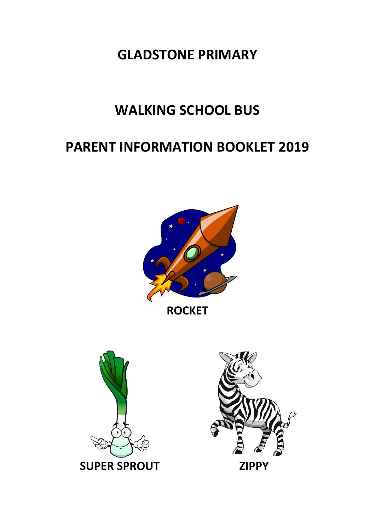**GLADSTONE PRIMARY** 

## **WALKING SCHOOL BUS**

## **PARENT INFORMATION BOOKLET 2019**



**ROCKET**



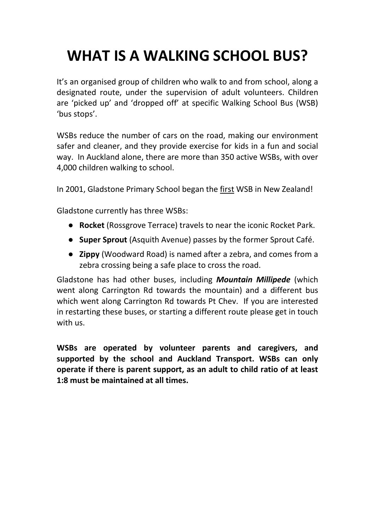# **WHAT IS A WALKING SCHOOL BUS?**

It's an organised group of children who walk to and from school, along a designated route, under the supervision of adult volunteers. Children are 'picked up' and 'dropped off' at specific Walking School Bus (WSB) 'bus stops'.

WSBs reduce the number of cars on the road, making our environment safer and cleaner, and they provide exercise for kids in a fun and social way. In Auckland alone, there are more than 350 active WSBs, with over 4,000 children walking to school.

In 2001, Gladstone Primary School began the first WSB in New Zealand!

Gladstone currently has three WSBs:

- **Rocket** (Rossgrove Terrace) travels to near the iconic Rocket Park.
- **Super Sprout** (Asquith Avenue) passes by the former Sprout Café.
- **Zippy** (Woodward Road) is named after a zebra, and comes from a zebra crossing being a safe place to cross the road.

Gladstone has had other buses, including *Mountain Millipede* (which went along Carrington Rd towards the mountain) and a different bus which went along Carrington Rd towards Pt Chev. If you are interested in restarting these buses, or starting a different route please get in touch with us.

**WSBs are operated by volunteer parents and caregivers, and supported by the school and Auckland Transport. WSBs can only operate if there is parent support, as an adult to child ratio of at least 1:8 must be maintained at all times.**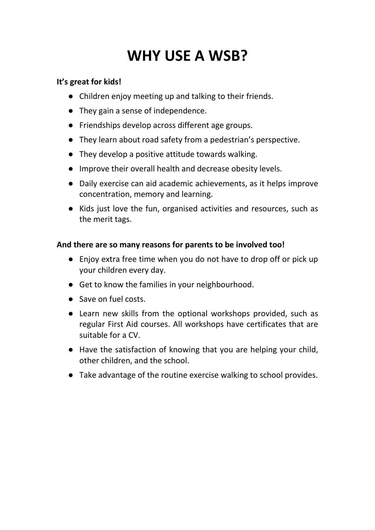# **WHY USE A WSB?**

#### **It's great for kids!**

- Children enjoy meeting up and talking to their friends.
- They gain a sense of independence.
- Friendships develop across different age groups.
- They learn about road safety from a pedestrian's perspective.
- They develop a positive attitude towards walking.
- Improve their overall health and decrease obesity levels.
- Daily exercise can aid academic achievements, as it helps improve concentration, memory and learning.
- Kids just love the fun, organised activities and resources, such as the merit tags.

### **And there are so many reasons for parents to be involved too!**

- Enjoy extra free time when you do not have to drop off or pick up your children every day.
- Get to know the families in your neighbourhood.
- Save on fuel costs.
- Learn new skills from the optional workshops provided, such as regular First Aid courses. All workshops have certificates that are suitable for a CV.
- Have the satisfaction of knowing that you are helping your child, other children, and the school.
- Take advantage of the routine exercise walking to school provides.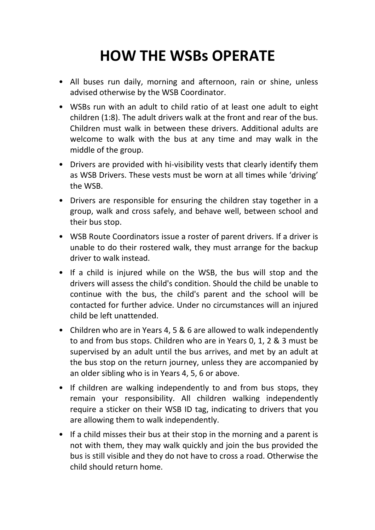# **HOW THE WSBs OPERATE**

- All buses run daily, morning and afternoon, rain or shine, unless advised otherwise by the WSB Coordinator.
- WSBs run with an adult to child ratio of at least one adult to eight children (1:8). The adult drivers walk at the front and rear of the bus. Children must walk in between these drivers. Additional adults are welcome to walk with the bus at any time and may walk in the middle of the group.
- Drivers are provided with hi-visibility vests that clearly identify them as WSB Drivers. These vests must be worn at all times while 'driving' the WSB.
- Drivers are responsible for ensuring the children stay together in a group, walk and cross safely, and behave well, between school and their bus stop.
- WSB Route Coordinators issue a roster of parent drivers. If a driver is unable to do their rostered walk, they must arrange for the backup driver to walk instead.
- If a child is injured while on the WSB, the bus will stop and the drivers will assess the child's condition. Should the child be unable to continue with the bus, the child's parent and the school will be contacted for further advice. Under no circumstances will an injured child be left unattended.
- Children who are in Years 4, 5 & 6 are allowed to walk independently to and from bus stops. Children who are in Years 0, 1, 2 & 3 must be supervised by an adult until the bus arrives, and met by an adult at the bus stop on the return journey, unless they are accompanied by an older sibling who is in Years 4, 5, 6 or above.
- If children are walking independently to and from bus stops, they remain your responsibility. All children walking independently require a sticker on their WSB ID tag, indicating to drivers that you are allowing them to walk independently.
- If a child misses their bus at their stop in the morning and a parent is not with them, they may walk quickly and join the bus provided the bus is still visible and they do not have to cross a road. Otherwise the child should return home.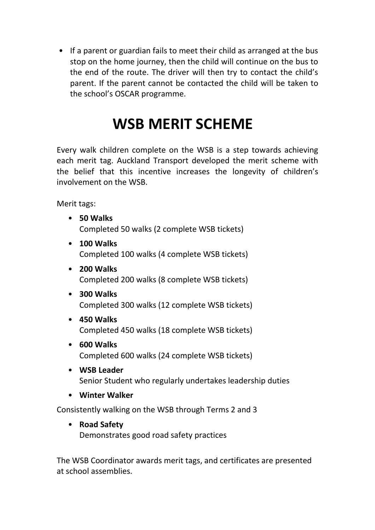• If a parent or guardian fails to meet their child as arranged at the bus stop on the home journey, then the child will continue on the bus to the end of the route. The driver will then try to contact the child's parent. If the parent cannot be contacted the child will be taken to the school's OSCAR programme.

## **WSB MERIT SCHEME**

Every walk children complete on the WSB is a step towards achieving each merit tag. Auckland Transport developed the merit scheme with the belief that this incentive increases the longevity of children's involvement on the WSB.

Merit tags:

- **50 Walks** Completed 50 walks (2 complete WSB tickets)
- **100 Walks** Completed 100 walks (4 complete WSB tickets)
- **200 Walks** Completed 200 walks (8 complete WSB tickets)
- **300 Walks** Completed 300 walks (12 complete WSB tickets)
- **450 Walks** Completed 450 walks (18 complete WSB tickets)
- **600 Walks** Completed 600 walks (24 complete WSB tickets)
- **WSB Leader** Senior Student who regularly undertakes leadership duties
- **Winter Walker**

Consistently walking on the WSB through Terms 2 and 3

• **Road Safety** Demonstrates good road safety practices

The WSB Coordinator awards merit tags, and certificates are presented at school assemblies.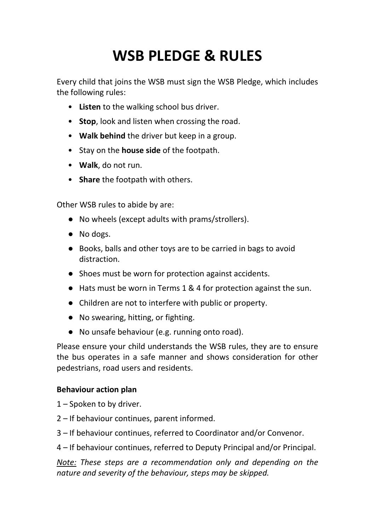# **WSB PLEDGE & RULES**

Every child that joins the WSB must sign the WSB Pledge, which includes the following rules:

- **Listen** to the walking school bus driver.
- **Stop**, look and listen when crossing the road.
- **Walk behind** the driver but keep in a group.
- Stay on the **house side** of the footpath.
- **Walk**, do not run.
- **Share** the footpath with others.

Other WSB rules to abide by are:

- No wheels (except adults with prams/strollers).
- No dogs.
- Books, balls and other toys are to be carried in bags to avoid distraction.
- Shoes must be worn for protection against accidents.
- Hats must be worn in Terms 1 & 4 for protection against the sun.
- Children are not to interfere with public or property.
- No swearing, hitting, or fighting.
- No unsafe behaviour (e.g. running onto road).

Please ensure your child understands the WSB rules, they are to ensure the bus operates in a safe manner and shows consideration for other pedestrians, road users and residents.

#### **Behaviour action plan**

- 1 Spoken to by driver.
- 2 If behaviour continues, parent informed.
- 3 If behaviour continues, referred to Coordinator and/or Convenor.
- 4 If behaviour continues, referred to Deputy Principal and/or Principal.

*Note: These steps are a recommendation only and depending on the nature and severity of the behaviour, steps may be skipped.*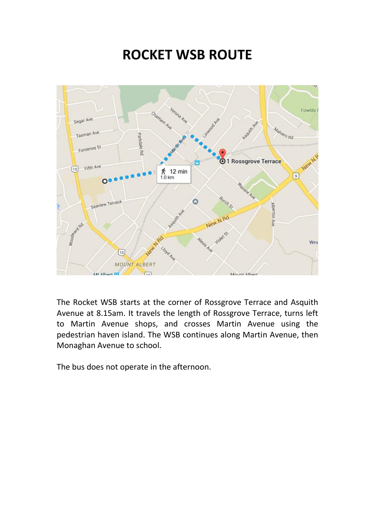## **ROCKET WSB ROUTE**



The Rocket WSB starts at the corner of Rossgrove Terrace and Asquith Avenue at 8.15am. It travels the length of Rossgrove Terrace, turns left to Martin Avenue shops, and crosses Martin Avenue using the pedestrian haven island. The WSB continues along Martin Avenue, then Monaghan Avenue to school.

The bus does not operate in the afternoon.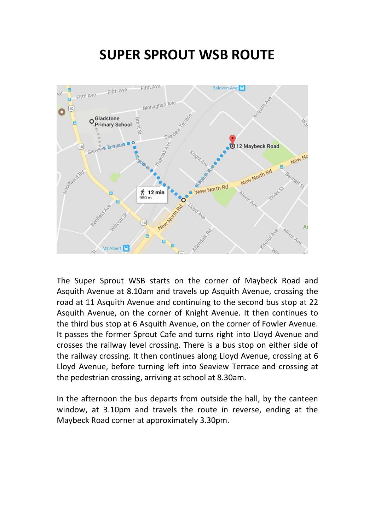## **SUPER SPROUT WSB ROUTE**



The Super Sprout WSB starts on the corner of Maybeck Road and Asquith Avenue at 8.10am and travels up Asquith Avenue, crossing the road at 11 Asquith Avenue and continuing to the second bus stop at 22 Asquith Avenue, on the corner of Knight Avenue. It then continues to the third bus stop at 6 Asquith Avenue, on the corner of Fowler Avenue. It passes the former Sprout Cafe and turns right into Lloyd Avenue and crosses the railway level crossing. There is a bus stop on either side of the railway crossing. It then continues along Lloyd Avenue, crossing at 6 Lloyd Avenue, before turning left into Seaview Terrace and crossing at the pedestrian crossing, arriving at school at 8.30am.

In the afternoon the bus departs from outside the hall, by the canteen window, at 3.10pm and travels the route in reverse, ending at the Maybeck Road corner at approximately 3.30pm.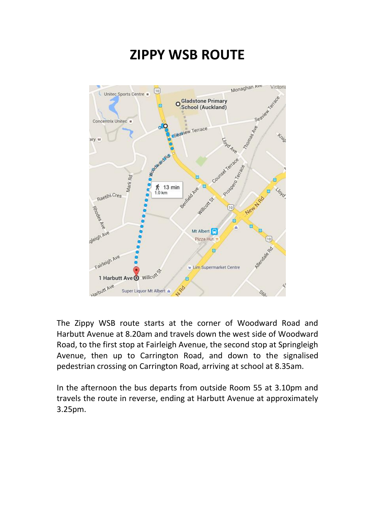### **ZIPPY WSB ROUTE**



The Zippy WSB route starts at the corner of Woodward Road and Harbutt Avenue at 8.20am and travels down the west side of Woodward Road, to the first stop at Fairleigh Avenue, the second stop at Springleigh Avenue, then up to Carrington Road, and down to the signalised pedestrian crossing on Carrington Road, arriving at school at 8.35am.

In the afternoon the bus departs from outside Room 55 at 3.10pm and travels the route in reverse, ending at Harbutt Avenue at approximately 3.25pm.